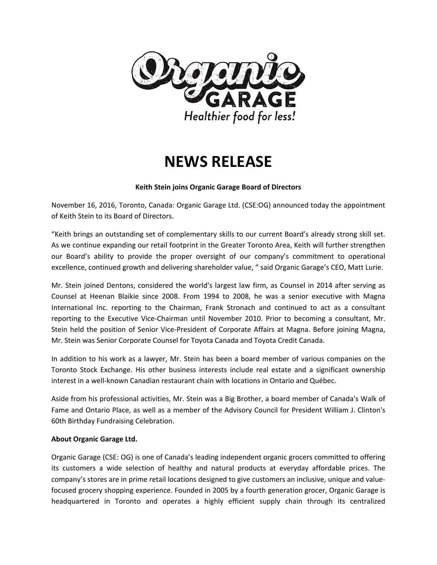

# **NEWS RELEASE**

### **Keith Stein joins Organic Garage Board of Directors**

November 16, 2016, Toronto, Canada: Organic Garage Ltd. (CSE:OG) announced today the appointment of Keith Stein to its Board of Directors.

"Keith brings an outstanding set of complementary skills to our current Board's already strong skill set. As we continue expanding our retail footprint in the Greater Toronto Area, Keith will further strengthen our Board's ability to provide the proper oversight of our company's commitment to operational excellence, continued growth and delivering shareholder value, " said Organic Garage's CEO, Matt Lurie.

Mr. Stein joined Dentons, considered the world's largest law firm, as Counsel in 2014 after serving as Counsel at Heenan Blaikie since 2008. From 1994 to 2008, he was a senior executive with Magna International Inc. reporting to the Chairman, Frank Stronach and continued to act as a consultant reporting to the Executive Vice-Chairman until November 2010. Prior to becoming a consultant, Mr. Stein held the position of Senior Vice-President of Corporate Affairs at Magna. Before joining Magna, Mr. Stein was Senior Corporate Counsel for Toyota Canada and Toyota Credit Canada.

In addition to his work as a lawyer, Mr. Stein has been a board member of various companies on the Toronto Stock Exchange. His other business interests include real estate and a significant ownership interest in a well-known Canadian restaurant chain with locations in Ontario and Québec.

Aside from his professional activities, Mr. Stein was a Big Brother, a board member of Canada's Walk of Fame and Ontario Place, as well as a member of the Advisory Council for President William J. Clinton's 60th Birthday Fundraising Celebration.

#### **About Organic Garage Ltd.**

Organic Garage (CSE: OG) is one of Canada's leading independent organic grocers committed to offering its customers a wide selection of healthy and natural products at everyday affordable prices. The company's stores are in prime retail locations designed to give customers an inclusive, unique and valuefocused grocery shopping experience. Founded in 2005 by a fourth generation grocer, Organic Garage is headquartered in Toronto and operates a highly efficient supply chain through its centralized